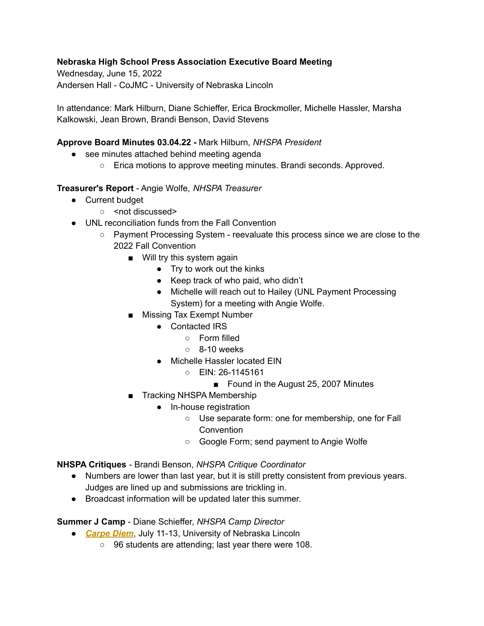## **Nebraska High School Press Association Executive Board Meeting**

Wednesday, June 15, 2022 Andersen Hall - CoJMC - University of Nebraska Lincoln

In attendance: Mark Hilburn, Diane Schieffer, Erica Brockmoller, Michelle Hassler, Marsha Kalkowski, Jean Brown, Brandi Benson, David Stevens

## **Approve Board Minutes 03.04.22 -** Mark Hilburn, *NHSPA President*

- see minutes attached behind meeting agenda
	- Erica motions to approve meeting minutes. Brandi seconds. Approved.

### **Treasurer's Report** - Angie Wolfe, *NHSPA Treasurer*

- Current budget
	- <not discussed>
- UNL reconciliation funds from the Fall Convention
	- Payment Processing System reevaluate this process since we are close to the 2022 Fall Convention
		- Will try this system again
			- Try to work out the kinks
			- Keep track of who paid, who didn't
			- Michelle will reach out to Hailey (UNL Payment Processing System) for a meeting with Angie Wolfe.
		- Missing Tax Exempt Number
			- Contacted IRS
				- Form filled
				- $\circ$  8-10 weeks
			- Michelle Hassler located EIN
				- EIN: 26-1145161
					- Found in the August 25, 2007 Minutes
		- Tracking NHSPA Membership
			- In-house registration
				- Use separate form: one for membership, one for Fall Convention
				- Google Form; send payment to Angie Wolfe

**NHSPA Critiques** - Brandi Benson, *NHSPA Critique Coordinator*

- Numbers are lower than last year, but it is still pretty consistent from previous years. Judges are lined up and submissions are trickling in.
- Broadcast information will be updated later this summer.

**Summer J Camp** - Diane Schieffer, *NHSPA Camp Director*

- *[Carpe](https://www.nhspaonline.org/events/nhspa-summer-workshop/) Diem*, July 11-13, University of Nebraska Lincoln
	- 96 students are attending; last year there were 108.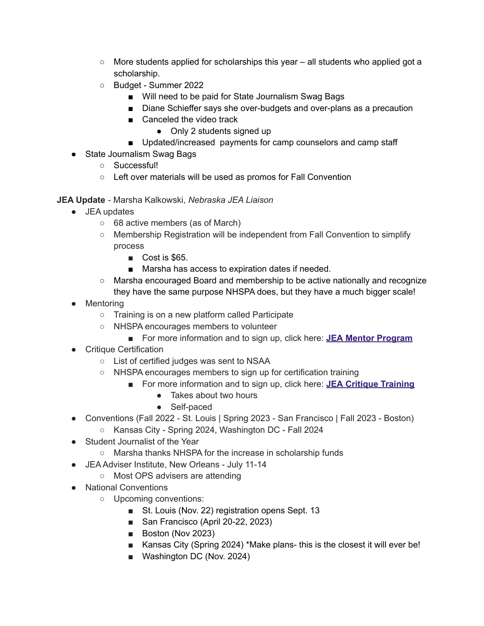- $\circ$  More students applied for scholarships this year all students who applied got a scholarship.
- Budget Summer 2022
	- Will need to be paid for State Journalism Swag Bags
	- Diane Schieffer says she over-budgets and over-plans as a precaution
	- Canceled the video track
		- Only 2 students signed up
	- Updated/increased payments for camp counselors and camp staff
- State Journalism Swag Bags
	- Successful!
	- Left over materials will be used as promos for Fall Convention

# **JEA Update** - Marsha Kalkowski, *Nebraska JEA Liaison*

- JEA updates
	- 68 active members (as of March)
	- Membership Registration will be independent from Fall Convention to simplify process
		- Cost is \$65.
		- Marsha has access to expiration dates if needed.
	- Marsha encouraged Board and membership to be active nationally and recognize they have the same purpose NHSPA does, but they have a much bigger scale!
- Mentoring
	- Training is on a new platform called Participate
	- NHSPA encourages members to volunteer
		- For more information and to sign up, click here: **JEA Mentor [Program](http://jea.org/wp/jea-mentoring-program/)**
- Critique Certification
	- List of certified judges was sent to NSAA
	- NHSPA encourages members to sign up for certification training
		- For more information and to sign up, click here: **JEA Critique [Training](http://jea.org/wp/critique-training/)** 
			- Takes about two hours
			- Self-paced
- Conventions (Fall 2022 St. Louis | Spring 2023 San Francisco | Fall 2023 Boston)
	- Kansas City Spring 2024, Washington DC Fall 2024
- Student Journalist of the Year
	- Marsha thanks NHSPA for the increase in scholarship funds
- JEA Adviser Institute, New Orleans July 11-14
	- Most OPS advisers are attending
- National Conventions
	- Upcoming conventions:
		- St. Louis (Nov. 22) registration opens Sept. 13
		- San Francisco (April 20-22, 2023)
		- Boston (Nov 2023)
		- Kansas City (Spring 2024) \*Make plans- this is the closest it will ever be!
		- Washington DC (Nov. 2024)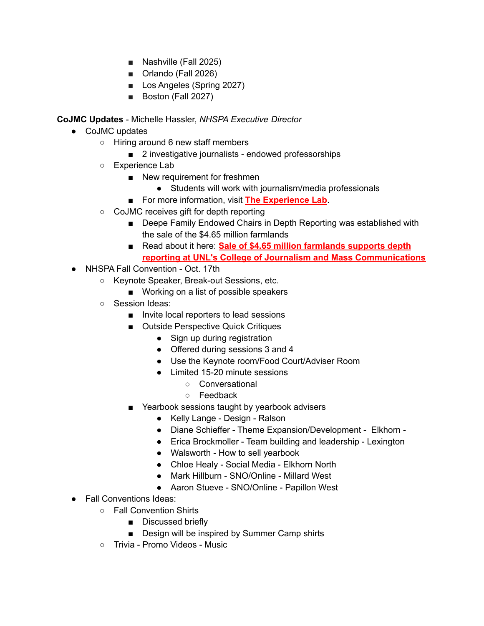- Nashville (Fall 2025)
- Orlando (Fall 2026)
- Los Angeles (Spring 2027)
- Boston (Fall 2027)

**CoJMC Updates** - Michelle Hassler, *NHSPA Executive Director*

- CoJMC updates
	- Hiring around 6 new staff members
		- 2 investigative journalists endowed professorships
	- Experience Lab
		- New requirement for freshmen
			- Students will work with journalism/media professionals
		- For more information, visit The **[Experience](https://journalism.unl.edu/experiencelab#programs) Lab**.
	- CoJMC receives gift for depth reporting
		- Deepe Family Endowed Chairs in Depth Reporting was established with the sale of the \$4.65 million farmlands
		- Read about it here: Sale of \$4.65 million [farmlands](https://journalism.unl.edu/news/sale-465-million-farmlands-supports-depth-reporting-unls-college-journalism-and-mass) supports depth **reporting at UNL's College of Journalism and Mass [Communications](https://journalism.unl.edu/news/sale-465-million-farmlands-supports-depth-reporting-unls-college-journalism-and-mass)**
- NHSPA Fall Convention Oct. 17th
	- Keynote Speaker, Break-out Sessions, etc.
		- Working on a list of possible speakers
	- Session Ideas:
		- Invite local reporters to lead sessions
		- Outside Perspective Quick Critiques
			- Sign up during registration
			- Offered during sessions 3 and 4
			- Use the Keynote room/Food Court/Adviser Room
			- Limited 15-20 minute sessions
				- Conversational
				- Feedback
		- Yearbook sessions taught by yearbook advisers
			- Kelly Lange Design Ralson
			- Diane Schieffer Theme Expansion/Development Elkhorn -
			- Erica Brockmoller Team building and leadership Lexington
			- Walsworth How to sell yearbook
			- Chloe Healy Social Media Elkhorn North
			- Mark Hillburn SNO/Online Millard West
			- Aaron Stueve SNO/Online Papillon West
- **Fall Conventions Ideas:** 
	- Fall Convention Shirts
		- Discussed briefly
		- Design will be inspired by Summer Camp shirts
	- Trivia Promo Videos Music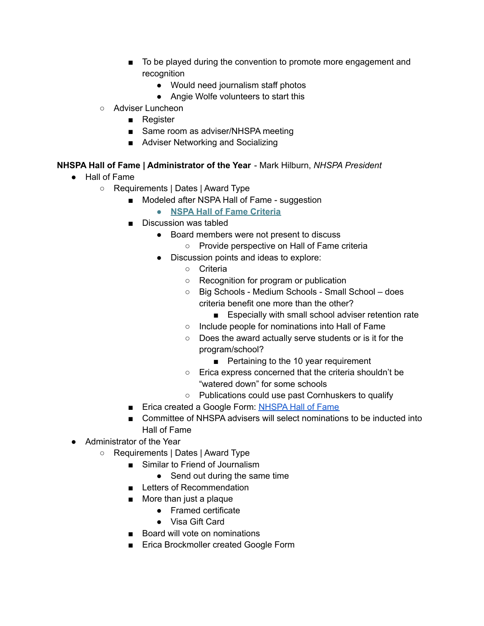- To be played during the convention to promote more engagement and recognition
	- Would need journalism staff photos
	- Angie Wolfe volunteers to start this
- Adviser Luncheon
	- Register
	- Same room as adviser/NHSPA meeting
	- Adviser Networking and Socializing

# **NHSPA Hall of Fame | Administrator of the Year** - Mark Hilburn, *NHSPA President*

- Hall of Fame
	- Requirements | Dates | Award Type
		- Modeled after NSPA Hall of Fame suggestion
			- **● NSPA Hall of Fame [Criteria](https://studentpress.org/nspa/nspa-hall-of-fame/#:~:text=The%20NSPA%20Hall%20of%20Fame,within%20an%2011%2Dyear%20span.)**
		- Discussion was tabled
			- Board members were not present to discuss
				- Provide perspective on Hall of Fame criteria
			- Discussion points and ideas to explore:
				- Criteria
				- Recognition for program or publication
				- Big Schools Medium Schools Small School does criteria benefit one more than the other?
					- Especially with small school adviser retention rate
				- Include people for nominations into Hall of Fame
				- Does the award actually serve students or is it for the program/school?
					- Pertaining to the 10 year requirement
				- Erica express concerned that the criteria shouldn't be "watered down" for some schools
				- Publications could use past Cornhuskers to qualify
		- Erica created a Google Form: [NHSPA](https://docs.google.com/forms/d/e/1FAIpQLScNl45ByD_XkyKz4d5MfrXqilZdEN51dZ6eEqyB6VQ15VHPlQ/viewform?vc=0&c=0&w=1&flr=0) Hall of Fame
		- Committee of NHSPA advisers will select nominations to be inducted into Hall of Fame
- Administrator of the Year
	- Requirements | Dates | Award Type
		- Similar to Friend of Journalism
			- Send out during the same time
		- Letters of Recommendation
		- More than just a plaque
			- Framed certificate
			- Visa Gift Card
		- Board will vote on nominations
		- Erica Brockmoller created Google Form